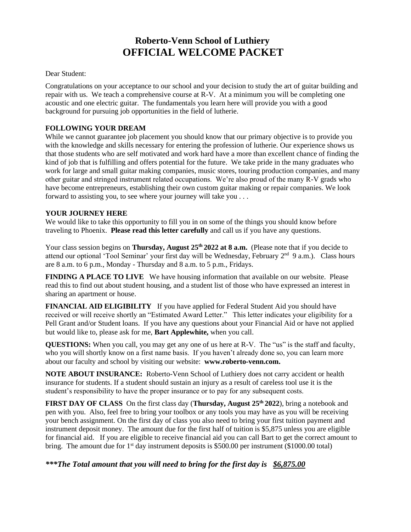# **Roberto-Venn School of Luthiery OFFICIAL WELCOME PACKET**

### Dear Student:

Congratulations on your acceptance to our school and your decision to study the art of guitar building and repair with us. We teach a comprehensive course at R-V. At a minimum you will be completing one acoustic and one electric guitar. The fundamentals you learn here will provide you with a good background for pursuing job opportunities in the field of lutherie.

### **FOLLOWING YOUR DREAM**

While we cannot guarantee job placement you should know that our primary objective is to provide you with the knowledge and skills necessary for entering the profession of lutherie. Our experience shows us that those students who are self motivated and work hard have a more than excellent chance of finding the kind of job that is fulfilling and offers potential for the future. We take pride in the many graduates who work for large and small guitar making companies, music stores, touring production companies, and many other guitar and stringed instrument related occupations. We're also proud of the many R-V grads who have become entrepreneurs, establishing their own custom guitar making or repair companies. We look forward to assisting you, to see where your journey will take you . . .

#### **YOUR JOURNEY HERE**

We would like to take this opportunity to fill you in on some of the things you should know before traveling to Phoenix. **Please read this letter carefully** and call us if you have any questions.

Your class session begins on **Thursday, August 25th 2022 at 8 a.m.** (Please note that if you decide to attend our optional 'Tool Seminar' your first day will be Wednesday, February 2<sup>nd</sup> 9 a.m.). Class hours are 8 a.m. to 6 p.m., Monday - Thursday and 8 a.m. to 5 p.m., Fridays.

**FINDING A PLACE TO LIVE** We have housing information that available on our website. Please read this to find out about student housing, and a student list of those who have expressed an interest in sharing an apartment or house.

**FINANCIAL AID ELIGIBILITY** If you have applied for Federal Student Aid you should have received or will receive shortly an "Estimated Award Letter." This letter indicates your eligibility for a Pell Grant and/or Student loans. If you have any questions about your Financial Aid or have not applied but would like to, please ask for me, **Bart Applewhite,** when you call.

**QUESTIONS:** When you call, you may get any one of us here at R-V. The "us" is the staff and faculty, who you will shortly know on a first name basis. If you haven't already done so, you can learn more about our faculty and school by visiting our website: **www.roberto-venn.com.**

**NOTE ABOUT INSURANCE:** Roberto-Venn School of Luthiery does not carry accident or health insurance for students. If a student should sustain an injury as a result of careless tool use it is the student's responsibility to have the proper insurance or to pay for any subsequent costs.

**FIRST DAY OF CLASS** On the first class day (**Thursday, August 25th 2022**), bring a notebook and pen with you. Also, feel free to bring your toolbox or any tools you may have as you will be receiving your bench assignment. On the first day of class you also need to bring your first tuition payment and instrument deposit money. The amount due for the first half of tuition is \$5,875 unless you are eligible for financial aid. If you are eligible to receive financial aid you can call Bart to get the correct amount to bring. The amount due for  $1<sup>st</sup>$  day instrument deposits is \$500.00 per instrument (\$1000.00 total)

*\*\*\*The Total amount that you will need to bring for the first day is \$6,875.00*